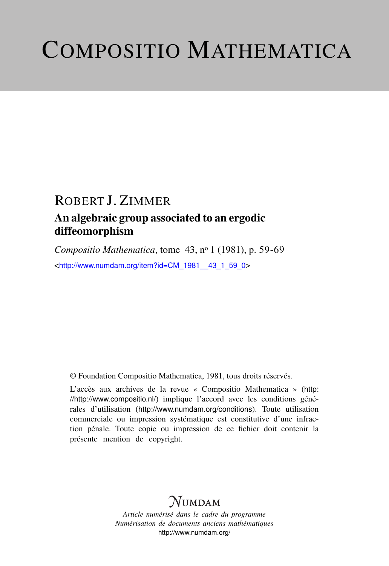# COMPOSITIO MATHEMATICA

## ROBERT J. ZIMMER

## An algebraic group associated to an ergodic diffeomorphism

*Compositio Mathematica*, tome 43, n<sup>o</sup> 1 (1981), p. 59-69 <[http://www.numdam.org/item?id=CM\\_1981\\_\\_43\\_1\\_59\\_0](http://www.numdam.org/item?id=CM_1981__43_1_59_0)>

© Foundation Compositio Mathematica, 1981, tous droits réservés.

L'accès aux archives de la revue « Compositio Mathematica » ([http:](http://http://www.compositio.nl/) [//http://www.compositio.nl/](http://http://www.compositio.nl/)) implique l'accord avec les conditions générales d'utilisation (<http://www.numdam.org/conditions>). Toute utilisation commerciale ou impression systématique est constitutive d'une infraction pénale. Toute copie ou impression de ce fichier doit contenir la présente mention de copyright.

## $N$ UMDAM

*Article numérisé dans le cadre du programme Numérisation de documents anciens mathématiques* <http://www.numdam.org/>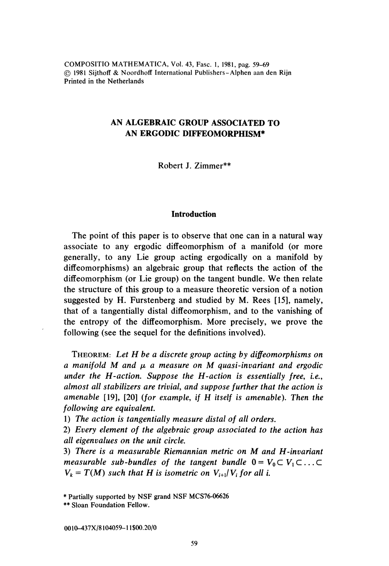COMPOSITIO MATHEMATICA, Vol. 43, Fasc. 1, 1981, pag. 59-69 © 1981 Sijthoff & Noordhoff International Publishers-Alphen aan den Rijn Printed in the Netherlands

### AN ALGEBRAIC GROUP ASSOCIATED TO AN ERGODIC DIFFEOMORPHISM\*

Robert J. Zimmer\*\*

#### Introduction

The point of this paper is to observe that one can in a natural way associate to any ergodic diffeomorphism of a manifold (or more generally, to any Lie group acting ergodically on a manifold by diffeomorphisms) an algebraic group that reflects the action of the diffeomorphism (or Lie group) on the tangent bundle. We then relate the structure of this group to a measure theoretic version of a notion suggested by H. Furstenberg and studied by M. Rees [15], namely, that of a tangentially distal diffeomorphism, and to the vanishing of the entropy of the diffeomorphism. More precisely, we prove the following (see the sequel for the definitions involved).

THEOREM: Let H be a discrete group acting by diffeomorphisms on a manifold M and  $\mu$  a measure on M quasi-invariant and ergodic under the  $H$ -action. Suppose the  $H$ -action is essentially free, i.e., almost all stabilizers are trivial, and suppose further that the action is amenable [19], [20] (for example, if H itself is amenable). Then the following are equivalent.

1) The action is tangentially measure distal of all orders.

2) Every element of the algebraic group associated to the action has all eigenvalues on the unit circle.

3) There is a measurable Riemannian metric on M and H-invariant measurable sub-bundles of the tangent bundle  $0 = V_0 \subset V_1 \subset \ldots \subset$  $V_k = T(M)$  such that H is isometric on  $V_{i+1}/V_i$  for all i.

0010-437X/8104059-11\$00.20/0

<sup>\*</sup> Partially supported by NSF grand NSF MCS76-06626

<sup>\*\*</sup> Sloan Foundation Fellow.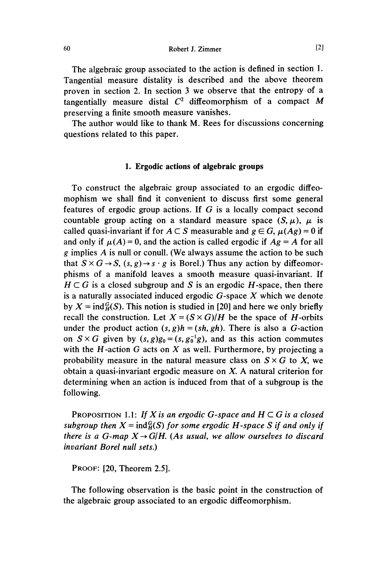Robert J. Zimmer

The algebraic group associated to the action is defined in section 1. Tangential measure distality is described and the above theorem proven in section 2. In section 3 we observe that the entropy of a tangentially measure distal  $C<sup>2</sup>$  diffeomorphism of a compact M preserving a finite smooth measure vanishes.

The author would like to thank M. Rees for discussions concerning questions related to this paper.

#### 1. Ergodic actions of algebraic groups

To construct the algebraic group associated to an ergodic diffeomophism we shall find it convenient to discuss first some general features of ergodic group actions. If  $G$  is a locally compact second countable group acting on a standard measure space  $(S, \mu)$ ,  $\mu$  is called quasi-invariant if for  $A \subset S$  measurable and  $g \in G$ ,  $\mu(Ag) = 0$  if and only if  $\mu(A) = 0$ , and the action is called ergodic if  $Ag = A$  for all  $g$  implies  $\vec{A}$  is null or conull. (We always assume the action to be such that  $S \times G \rightarrow S$ ,  $(s, g) \rightarrow s \cdot g$  is Borel.) Thus any action by diffeomorphisms of a manifold leaves a smooth measure quasi-invariant. If  $H \subset G$  is a closed subgroup and S is an ergodic H-space, then there is a naturally associated induced ergodic  $G$ -space  $X$  which we denote by  $X = \text{ind}_{H}^{G}(S)$ . This notion is studied in [20] and here we only briefly recall the construction. Let  $X = (S \times G)/H$  be the space of H-orbits under the product action  $(s, g)h = (sh, gh)$ . There is also a G-action on  $S \times G$  given by  $(s, g)g_0 = (s, g_0^{-1}g)$ , and as this action commutes with the  $H$ -action  $G$  acts on  $X$  as well. Furthermore, by projecting a probability measure in the natural measure class on  $S \times G$  to X, we obtain a quasi-invariant ergodic measure on X. A natural criterion for determining when an action is induced from that of a subgroup is the following.

PROPOSITION 1.1: If X is an ergodic G-space and  $H \subset G$  is a closed subgroup then  $X = \text{ind}_{H}^{G}(S)$  for some ergodic H-space S if and only if there is a G-map  $X \rightarrow G/H$ . (As usual, we allow ourselves to discard invariant Borel null sets.)

PROOF: [20, Theorem 2.5].

The following observation is the basic point in the construction of the algebraic group associated to an ergodic diffeomorphism.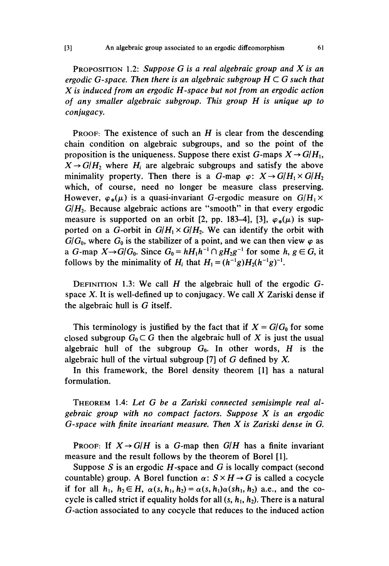PROPOSITION 1.2: Suppose G is a real algebraic group and X is an ergodic G-space. Then there is an algebraic subgroup  $H \subset G$  such that X is induced from an ergodic H-space but not from an ergodic action of any smaller algebraic subgroup. This group H is unique up to conjugacy.

PROOF: The existence of such an  $H$  is clear from the descending chain condition on algebraic subgroups, and so the point of the proposition is the uniqueness. Suppose there exist G-maps  $X \rightarrow G/H_1$ ,  $X \rightarrow G/H$ , where  $H_i$  are algebraic subgroups and satisfy the above minimality property. Then there is a G-map  $\varphi: X \to G/H_1 \times G/H_2$ which, of course, need no longer be measure class preserving. However,  $\varphi_*(\mu)$  is a quasi-invariant G-ergodic measure on  $G/H_1 \times$  $G/H<sub>2</sub>$ . Because algebraic actions are "smooth" in that every ergodic measure is supported on an orbit [2, pp. 183–4], [3],  $\varphi_*(\mu)$  is supported on a G-orbit in  $G/H_1 \times G/H_2$ . We can identify the orbit with  $G/G_0$ , where  $G_0$  is the stabilizer of a point, and we can then view  $\varphi$  as a G-map  $X \rightarrow G/G_0$ . Since  $G_0 = hH_1h^{-1} \cap gH_2g^{-1}$  for some  $h, g \in G$ , it follows by the minimality of H<sub>i</sub> that  $H_1 = (h^{-1}g)H_2(h^{-1}g)^{-1}$ .

DEFINITION 1.3: We call  $H$  the algebraic hull of the ergodic  $G$ space  $X$ . It is well-defined up to conjugacy. We call  $X$  Zariski dense if the algebraic hull is  $G$  itself.

This terminology is justified by the fact that if  $X = G/G_0$  for some closed subgroup  $G_0 \subset G$  then the algebraic hull of X is just the usual algebraic hull of the subgroup  $G_0$ . In other words, H is the algebraic hull of the virtual subgroup [7] of  $G$  defined by  $X$ .

In this framework, the Borel density theorem [1] has a natural formulation.

THEOREM 1.4: Let G be a Zariski connected semisimple real algebraic group with no compact factors. Suppose  $X$  is an ergodic G-space with finite invariant measure. Then X is Zariski dense in G.

**PROOF:** If  $X \rightarrow G/H$  is a G-map then  $G/H$  has a finite invariant measure and the result follows by the theorem of Borel [1].

Suppose  $S$  is an ergodic  $H$ -space and  $G$  is locally compact (second countable) group. A Borel function  $\alpha: S \times H \rightarrow G$  is called a cocycle if for all  $h_1$ ,  $h_2 \in H$ ,  $\alpha(s, h_1, h_2) = \alpha(s, h_1)\alpha(sh_1, h_2)$  a.e., and the cocycle is called strict if equality holds for all  $(s, h_1, h_2)$ . There is a natural G-action associated to any cocycle that reduces to the induced action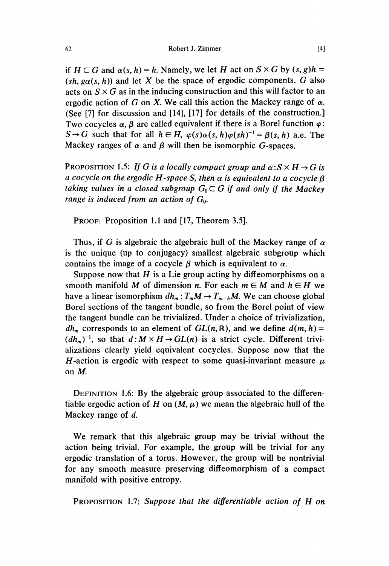if  $H \subset G$  and  $\alpha(s, h) = h$ . Namely, we let H act on  $S \times G$  by  $(s, g)h =$  $(sh, \rho \alpha(s, h))$  and let X be the space of ergodic components. G also acts on  $S \times G$  as in the inducing construction and this will factor to an ergodic action of G on X. We call this action the Mackey range of  $\alpha$ . (See [7] for discussion and [14], [17] for details of the construction.] Two cocycles  $\alpha$ ,  $\beta$  are called equivalent if there is a Borel function  $\varphi$ :  $S \rightarrow G$  such that for all  $h \in H$ ,  $\varphi(s) \alpha(s, h) \varphi(sh)^{-1} = \beta(s, h)$  a.e. The Mackey ranges of  $\alpha$  and  $\beta$  will then be isomorphic G-spaces.

PROPOSITION 1.5: If G is a locally compact group and  $\alpha$ : $S \times H \rightarrow G$  is a cocycle on the ergodic H-space S, then  $\alpha$  is equivalent to a cocycle  $\beta$ taking values in a closed subgroup  $G_0 \subset G$  if and only if the Mackey range is induced from an action of  $G_0$ .

PROOF: Proposition 1.1 and [17, Theorem 3.5].

Thus, if G is algebraic the algebraic hull of the Mackey range of  $\alpha$ is the unique (up to conjugacy) smallest algebraic subgroup which contains the image of a cocycle  $\beta$  which is equivalent to  $\alpha$ .

Suppose now that  $H$  is a Lie group acting by diffeomorphisms on a smooth manifold M of dimension n. For each  $m \in M$  and  $h \in H$  we have a linear isomorphism  $dh_m: T_mM \to T_{m+h}M$ . We can choose global Borel sections of the tangent bundle, so from the Borel point of view the tangent bundle can be trivialized. Under a choice of trivialization,  $dh_m$  corresponds to an element of  $GL(n, \mathbb{R})$ , and we define  $d(m, h)$  =  $(dh_m)^{-1}$ , so that  $d : M \times H \rightarrow GL(n)$  is a strict cycle. Different trivializations clearly yield equivalent cocycles. Suppose now that the H-action is ergodic with respect to some quasi-invariant measure  $\mu$ on M.

DEFINITION 1.6: By the algebraic group associated to the differentiable ergodic action of H on  $(M, \mu)$  we mean the algebraic hull of the Mackey range of d.

We remark that this algebraic group may be trivial without the action being trivial. For example, the group will be trivial for any ergodic translation of a torus. However, the group will be nontrivial for any smooth measure preserving diffeomorphism of a compact manifold with positive entropy.

PROPOSITION 1.7: Suppose that the differentiable action of H on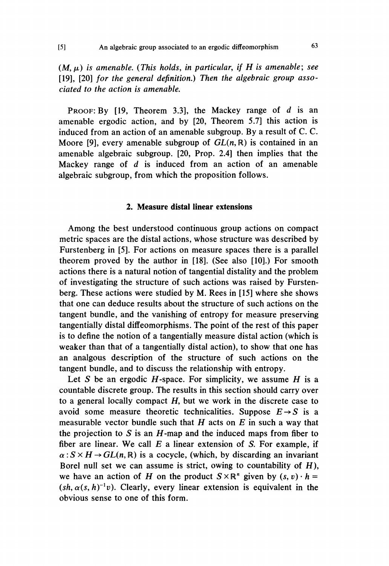$[5]$ 

 $(M, \mu)$  is amenable. (This holds, in particular, if H is amenable; see  $[19]$ ,  $[20]$  for the general definition.) Then the algebraic group associated to the action is amenable.

PROOF: By [19, Theorem 3.3], the Mackey range of  $d$  is an amenable ergodic action, and by [20, Theorem 5.7] this action is induced from an action of an amenable subgroup. By a result of C. C. Moore [9], every amenable subgroup of  $GL(n, \mathbb{R})$  is contained in an amenable algebraic subgroup. [20, Prop. 2.4] then implies that the Mackey range of  $d$  is induced from an action of an amenable algebraic subgroup, from which the proposition follows.

#### 2. Measure distal linear extensions

Among the best understood continuous group actions on compact metric spaces are the distal actions, whose structure was described by Furstenberg in [5]. For actions on measure spaces there is a parallel theorem proved by the author in [18]. (See also [10].) For smooth actions there is a natural notion of tangential distality and the problem of investigating the structure of such actions was raised by Furstenberg. These actions were studied by M. Rees in [15] where she shows that one can deduce results about the structure of such actions on the tangent bundle, and the vanishing of entropy for measure preserving tangentially distal diffeomorphisms. The point of the rest of this paper is to define the notion of a tangentially measure distal action (which is weaker than that of a tangentially distal action), to show that one has an analgous description of the structure of such actions on the tangent bundle, and to discuss the relationship with entropy.

Let S be an ergodic  $H$ -space. For simplicity, we assume  $H$  is a countable discrete group. The results in this section should carry over to a general locally compact  $H$ , but we work in the discrete case to avoid some measure theoretic technicalities. Suppose  $E \rightarrow S$  is a measurable vector bundle such that  $H$  acts on  $E$  in such a way that the projection to S is an  $H$ -map and the induced maps from fiber to fiber are linear. We call  $E$  a linear extension of  $S$ . For example, if  $\alpha$ :  $S \times H \rightarrow GL(n, \mathbb{R})$  is a cocycle, (which, by discarding an invariant Borel null set we can assume is strict, owing to countability of  $H$ ), we have an action of H on the product  $S \times \mathbb{R}^n$  given by  $(s, v) \cdot h =$  $(sh, \alpha(s, h)^{-1}v)$ . Clearly, every linear extension is equivalent in the obvious sense to one of this form.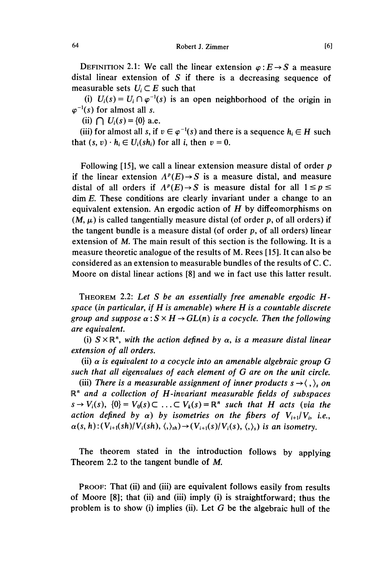DEFINITION 2.1: We call the linear extension  $\varphi : E \to S$  a measure distal linear extension of  $S$  if there is a decreasing sequence of measurable sets  $U_i \subset E$  such that

(i)  $U_i(s) = U_i \cap \varphi^{-1}(s)$  is an open neighborhood of the origin in  $\varphi^{-1}(s)$  for almost all s.

(ii)  $\bigcap U_i(s) = \{0\}$  a.e.

(iii) for almost all s, if  $v \in \varphi^{-1}(s)$  and there is a sequence  $h_i \in H$  such that  $(s, v) \cdot h_i \in U_i(sh_i)$  for all *i*, then  $v = 0$ .

Following [15], we call a linear extension measure distal of order p if the linear extension  $\Lambda^p(E) \rightarrow S$  is a measure distal, and measure distal of all orders if  $\Lambda^p(E) \to S$  is measure distal for all  $1 \le p \le$ dim E. These conditions are clearly invariant under a change to an equivalent extension. An ergodic action of  $H$  by diffeomorphisms on  $(M, \mu)$  is called tangentially measure distal (of order p, of all orders) if the tangent bundle is a measure distal (of order  $p$ , of all orders) linear extension of M. The main result of this section is the following. It is a measure theoretic analogue of the results of M. Rees [15]. It can also be considered as an extension to measurable bundles of the results of C. C. Moore on distal linear actions [8] and we in fact use this latter result.

THEOREM 2.2: Let S be an essentially free amenable ergodic Hspace (in particular, if H is amenable) where H is a countable discrete group and suppose  $\alpha$ :  $S \times H \rightarrow GL(n)$  is a cocycle. Then the following are equivalent.

(i)  $S \times \mathbb{R}^n$ , with the action defined by  $\alpha$ , is a measure distal linear extension of all orders.

(ii)  $\alpha$  is equivalent to a cocycle into an amenable algebraic group G such that all eigenvalues of each element of G are on the unit circle.

(iii) There is a measurable assignment of inner products  $s \rightarrow \langle , \rangle_s$  on  $\mathbb{R}^n$  and a collection of H-invariant measurable fields of subspaces  $s \to V_i(s)$ ,  $\{0\} = V_0(s) \subset \ldots \subset V_k(s) = \mathbb{R}^n$  such that H acts (via the action defined by  $\alpha$ ) by isometries on the fibers of  $V_{i+1}/V_i$ , i.e.,  $\alpha(s, h)$ :  $(V_{i+1}(sh)/V_i(sh), \langle, \rangle_{sh}) \rightarrow (V_{i+1}(s)/V_i(s), \langle, \rangle_{s})$  is an isometry.

The theorem stated in the introduction follows by applying Theorem 2.2 to the tangent bundle of M.

PROOF: That (ii) and (iii) are equivalent follows easily from results of Moore [8]; that (ii) and (iii) imply (i) is straightforward; thus the problem is to show (i) implies (ii). Let  $G$  be the algebraic hull of the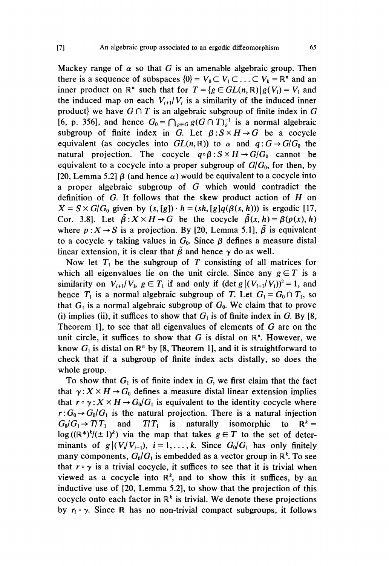Mackey range of  $\alpha$  so that G is an amenable algebraic group. Then there is a sequence of subspaces  $\{0\} = V_0 \subset V_1 \subset \ldots \subset V_k = \mathbb{R}^n$  and an inner product on  $\mathbb{R}^n$  such that for  $T = \{g \in GL(n, \mathbb{R}) | g(V_i) = V_i \text{ and }$ the induced map on each  $V_{i+1}/V_i$  is a similarity of the induced inner product} we have  $G \cap T$  is an algebraic subgroup of finite index in G [6, p. 356], and hence  $G_0 = \bigcap_{g \in G} g(G \cap T)^{-1}_g$  is a normal algebraic subgroup of finite index in G. Let  $\beta: S \times H \rightarrow G$  be a cocycle equivalent (as cocycles into  $GL(n, \mathbb{R})$ ) to  $\alpha$  and  $q: G \rightarrow G/G_0$  the natural projection. The cocycle  $q \circ \beta : S \times H \rightarrow G/G_0$  cannot be equivalent to a cocycle into a proper subgroup of  $G/G<sub>0</sub>$ , for then, by [20, Lemma 5.2]  $\beta$  (and hence  $\alpha$ ) would be equivalent to a cocycle into a proper algebraic subgroup of G which would contradict the definition of  $G$ . It follows that the skew product action of  $H$  on  $X = S \times G/G_0$  given by  $(s, [g]) \cdot h = (sh, [g]q(\beta(s, h)))$  is ergodic [17, Cor. 3.8]. Let  $\tilde{\beta}: X \times H \rightarrow G$  be the cocycle  $\tilde{\beta}(x, h) = \beta(p(x), h)$ where  $p: X \rightarrow S$  is a projection. By [20, Lemma 5.1],  $\tilde{\beta}$  is equivalent to a cocycle  $\gamma$  taking values in  $G_0$ . Since  $\beta$  defines a measure distal linear extension, it is clear that  $\tilde{\beta}$  and hence  $\gamma$  do as well.

Now let  $T_1$  be the subgroup of T consisting of all matrices for which all eigenvalues lie on the unit circle. Since any  $g \in T$  is a similarity on  $V_{i+1}/V_i$ ,  $g \in T_1$  if and only if  $(\det g)(V_{i+1}/V_i))^2 = 1$ , and hence  $T_1$  is a normal algebraic subgroup of T. Let  $G_1 = G_0 \cap T_1$ , so that  $G_1$  is a normal algebraic subgroup of  $G_0$ . We claim that to prove (i) implies (ii), it suffices to show that  $G_1$  is of finite index in G. By [8, Theorem 1, to see that all eigenvalues of elements of  $G$  are on the unit circle, it suffices to show that  $G$  is distal on  $\mathbb{R}^n$ . However, we know  $G_1$  is distal on  $\mathbb{R}^n$  by [8, Theorem 1], and it is straightforward to check that if a subgroup of finite index acts distally, so does the whole group.

To show that  $G_1$  is of finite index in  $G$ , we first claim that the fact that  $\gamma: X \times H \rightarrow G_0$  defines a measure distal linear extension implies that  $r \circ \gamma : X \times H \to G_0/G_1$  is equivalent to the identity cocycle where  $r: G_0 \rightarrow G_0/G_1$  is the natural projection. There is a natural injection  $G_0/G_1 \rightarrow T/T_1$  and  $T/T_1$  is naturally isomorphic to  $\mathbb{R}^k =$  $\log((\mathbb{R}^*)^k/(\pm 1)^k)$  via the map that takes  $g \in T$  to the set of determinants of  $g|(V_i/V_{i-1}), i = 1, \ldots, k$ . Since  $G_0/G_1$  has only finitely many components,  $G_0/G_1$  is embedded as a vector group in  $\mathbb{R}^k$ . To see that  $r \circ \gamma$  is a trivial cocycle, it suffices to see that it is trivial when viewed as a cocycle into  $\mathbb{R}^k$ , and to show this it suffices, by an inductive use of [20, Lemma 5.2], to show that the projection of this cocycle onto each factor in  $\mathbb{R}^k$  is trivial. We denote these projections by  $r_i \circ \gamma$ . Since R has no non-trivial compact subgroups, it follows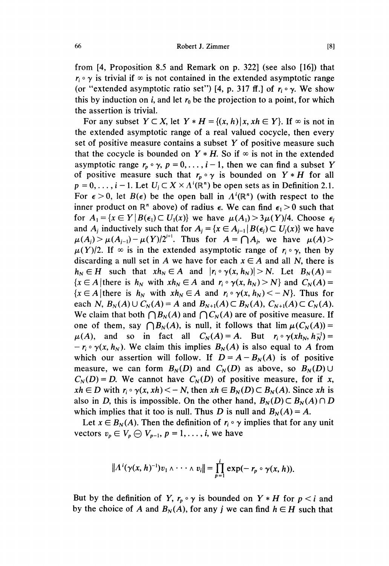from [4, Proposition 8.5 and Remark on p. 322] (see also [16]) that  $r_i \circ \gamma$  is trivial if  $\infty$  is not contained in the extended asymptotic range (or "extended asymptotic ratio set") [4, p. 317 ff.] of  $r_i \circ \gamma$ . We show this by induction on *i*, and let  $r_0$  be the projection to a point, for which the assertion is trivial.

For any subset  $Y \subset X$ , let  $Y * H = \{(x, h) | x, xh \in Y\}$ . If  $\infty$  is not in the extended asymptotic range of a real valued cocycle, then every set of positive measure contains a subset Y of positive measure such that the cocycle is bounded on  $Y * H$ . So if  $\infty$  is not in the extended asymptotic range  $r_p \circ \gamma$ ,  $p = 0, \ldots, i - 1$ , then we can find a subset Y of positive measure such that  $r_p \circ \gamma$  is bounded on  $Y * H$  for all  $p = 0, \ldots, i-1$ . Let  $U_i \subset X \times \Lambda^i(\mathbb{R}^n)$  be open sets as in Definition 2.1. For  $\epsilon > 0$ , let  $B(\epsilon)$  be the open ball in  $\Lambda^{i}(\mathbb{R}^{n})$  (with respect to the inner product on  $\mathbb{R}^n$  above) of radius  $\epsilon$ . We can find  $\epsilon_1 > 0$  such that for  $A_1 = \{x \in Y | B(\epsilon_1) \subset U_1(x)\}$  we have  $\mu(A_1) > 3\mu(Y)/4$ . Choose  $\epsilon_i$ and  $A_i$  inductively such that for  $A_i = \{x \in A_{i-1} | B(\epsilon_i) \subset U_i(x)\}$  we have  $\mu(A_i) > \mu(A_{i-1}) - \mu(Y)/2^{i+1}$ . Thus for  $A = \bigcap A_i$ , we have  $\mu(A) >$  $\mu(Y)/2$ . If  $\infty$  is in the extended asymptotic range of  $r_i \circ \gamma$ , then by discarding a null set in A we have for each  $x \in A$  and all N, there is  $h_N \in H$  such that  $xh_N \in A$  and  $|r_i \circ \gamma(x, h_N)| > N$ . Let  $B_N(A) =$  $\{x \in A \mid \text{there is } h_N \text{ with } xh_N \in A \text{ and } r_i \circ \gamma(x, h_N) > N\}$  and  $C_N(A) =$  ${x \in A}$  there is  $h_N$  with  $xh_N \in A$  and  $r_i \circ \gamma(x, h_N) < -N$ . Thus for each N,  $B_N(A) \cup C_N(A) = A$  and  $B_{N+1}(A) \subset B_N(A)$ ,  $C_{N+1}(A) \subset C_N(A)$ . We claim that both  $\bigcap B_N(A)$  and  $\bigcap C_N(A)$  are of positive measure. If one of them, say  $\bigcap B_N(A)$ , is null, it follows that lim  $\mu(C_N(A)) =$  $\mu(A)$ , and so in fact all  $C_N(A) = A$ . But  $r_i \circ \gamma(xh_N, h_N^{-1}) =$  $-r_i \circ \gamma(x, h_N)$ . We claim this implies  $B_N(A)$  is also equal to A from which our assertion will follow. If  $D = A - B<sub>N</sub>(A)$  is of positive measure, we can form  $B_N(D)$  and  $C_N(D)$  as above, so  $B_N(D) \cup$  $C_N(D) = D$ . We cannot have  $C_N(D)$  of positive measure, for if x,  $xh \in D$  with  $r_i \circ \gamma(x, xh) < -N$ , then  $xh \in B_N(D) \subset B_N(A)$ . Since xh is also in D, this is impossible. On the other hand,  $B_N(D) \subset B_N(A) \cap D$ which implies that it too is null. Thus D is null and  $B_N(A) = A$ .

Let  $x \in B_N(A)$ . Then the definition of  $r_i \circ \gamma$  implies that for any unit vectors  $v_p \in V_p \oplus V_{p-1}$ ,  $p = 1, \ldots, i$ , we have

$$
||\Lambda^{i}(\gamma(x,h)^{-1})v_{1}\wedge\cdots\wedge v_{i}||=\prod_{p=1}^{i}\exp(-r_{p}\circ\gamma(x,h)).
$$

But by the definition of Y,  $r_p \circ \gamma$  is bounded on Y  $*$  H for  $p \le i$  and by the choice of A and  $B_N(A)$ , for any j we can find  $h \in H$  such that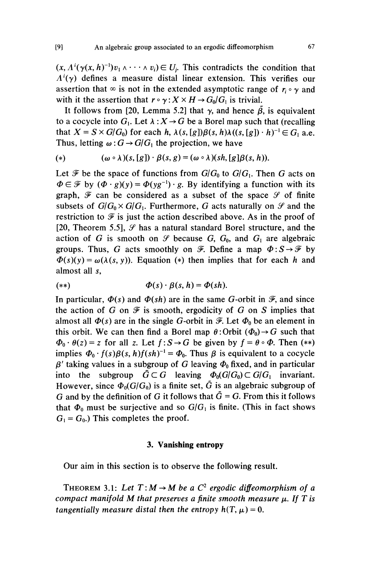$(x, \Lambda^{i}(\gamma(x, h)^{-1})v_1 \wedge \cdots \wedge v_i) \in U_i$ . This contradicts the condition that  $\Lambda^{i}(\nu)$  defines a measure distal linear extension. This verifies our assertion that  $\infty$  is not in the extended asymptotic range of  $r_i \circ \gamma$  and with it the assertion that  $r \circ \gamma$ :  $X \times H \rightarrow G_0/G_1$  is trivial.

It follows from [20, Lemma 5.2] that  $\gamma$ , and hence  $\tilde{\beta}$ , is equivalent to a cocycle into  $G_1$ . Let  $\lambda : X \rightarrow G$  be a Borel map such that (recalling that  $X = S \times G/G_0$  for each h,  $\lambda(s, [g])\beta(s, h)\lambda((s, [g]) \cdot h)^{-1} \in G_1$  a.e. Thus, letting  $\omega$ :  $G \rightarrow G/G_1$  the projection, we have

(\*) 
$$
(\omega \circ \lambda)(s, [g]) \cdot \beta(s, g) = (\omega \circ \lambda)(sh, [g]\beta(s, h)).
$$

Let  $\mathcal F$  be the space of functions from  $G/G_0$  to  $G/G_1$ . Then G acts on  $\Phi \in \mathcal{F}$  by  $(\Phi \cdot g)(y) = \Phi(yg^{-1}) \cdot g$ . By identifying a function with its graph,  $\mathcal F$  can be considered as a subset of the space  $\mathcal G$  of finite subsets of  $G/G_0 \times G/G_1$ . Furthermore, G acts naturally on  $\mathcal G$  and the restriction to  $\mathcal F$  is just the action described above. As in the proof of [20, Theorem 5.5],  $\mathcal{S}$  has a natural standard Borel structure, and the action of G is smooth on  $\mathcal G$  because G,  $G_0$ , and  $G_1$  are algebraic groups. Thus, G acts smoothly on  $\mathcal F$ . Define a map  $\Phi: S \to \mathcal F$  by  $\Phi(s)(y) = \omega(\lambda(s, y))$ . Equation (\*) then implies that for each h and almost all s,

$$
(*)\qquad \Phi(s)\cdot\beta(s,h)=\Phi(sh).
$$

In particular,  $\Phi(s)$  and  $\Phi(sh)$  are in the same G-orbit in  $\mathcal{F}$ , and since the action of G on  $\mathcal F$  is smooth, ergodicity of G on S implies that almost all  $\Phi(s)$  are in the single G-orbit in  $\mathcal{F}$ . Let  $\Phi_0$  be an element in this orbit. We can then find a Borel map  $\theta$ : Orbit  $(\Phi_0) \rightarrow G$  such that  $\Phi_0 \cdot \theta(z) = z$  for all z. Let  $f : S \rightarrow G$  be given by  $f = \theta \circ \Phi$ . Then (\*\*) implies  $\Phi_0 \cdot f(s)\beta(s, h)f(sh)^{-1} = \Phi_0$ . Thus  $\beta$  is equivalent to a cocycle  $\beta'$  taking values in a subgroup of G leaving  $\Phi_0$  fixed, and in particular into the subgroup  $\tilde{G} \subset G$  leaving  $\Phi_0(G/G_0) \subset G/G_1$  invariant. However, since  $\Phi_0(G/G_0)$  is a finite set,  $\tilde{G}$  is an algebraic subgroup of G and by the definition of G it follows that  $\tilde{G} = G$ . From this it follows that  $\Phi_0$  must be surjective and so  $G/G_1$  is finite. (This in fact shows  $G_1 = G_0$ .) This completes the proof.

#### 3. Vanishing entropy

Our aim in this section is to observe the following result.

THEOREM 3.1: Let  $T: M \rightarrow M$  be a  $C^2$  ergodic diffeomorphism of a compact manifold M that preserves a finite smooth measure  $\mu$ . If T is tangentially measure distal then the entropy  $h(T, \mu) = 0$ .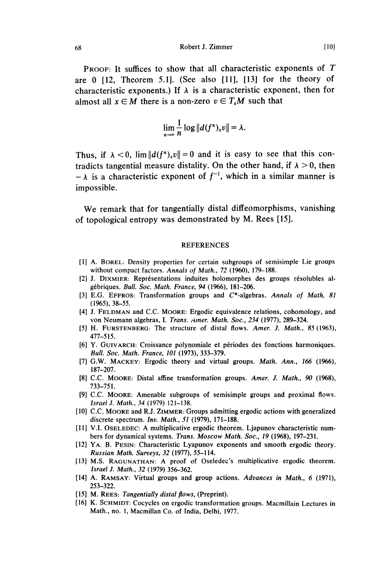Robert J. Zimmer

PROOF: It suffices to show that all characteristic exponents of T are 0 [12, Theorem 5.1]. (See also [11], [13] for the theory of characteristic exponents.) If  $\lambda$  is a characteristic exponent, then for almost all  $x \in M$  there is a non-zero  $v \in T_xM$  such that

$$
\lim_{n\to\infty}\frac{1}{n}\log||d(f^n)_x v||=\lambda.
$$

Thus, if  $\lambda < 0$ ,  $\lim ||d(f^n)_x v|| = 0$  and it is easy to see that this contradicts tangential measure distality. On the other hand, if  $\lambda > 0$ , then  $-\lambda$  is a characteristic exponent of  $f^{-1}$ , which in a similar manner is impossible.

We remark that for tangentially distal diffeomorphisms, vanishing of topological entropy was demonstrated by M. Rees [15].

#### REFERENCES

- [1] A. BOREL: Density properties for certain subgroups of semisimple Lie groups without compact factors. Annals of Math., 72 (1960), 179-188.
- [2] J. DIXMIER: Représentations induites holomorphes des groups résolubles algébriques. Bull. Soc. Math. France, 94 (1966), 181-206.
- [3] E.G. EFFROS: Transformation groups and  $C^*$ -algebras. Annals of Math. 81 (1965), 38-55.
- [4] J. FELDMAN and C.C. MOORE: Ergodic equivalence relations, cohomology, and von Neumann algebras, I. Trans. Amer. Math. Soc., 234 (1977), 289-324.
- [5] H. FURSTENBERG: The structure of distal flows. Amer. J. Math., 85 (1963), 477-515.
- [6] Y. GUIVARCH: Croissance polynomiale et périodes des fonctions harmoniques. Bull. Soc. Math. France, 101 (1973), 333-379.
- [7] G.W. MACKEY: Ergodic theory and virtual groups. Math. Ann., 166 (1966), 187-207.
- [8] C.C. MOORE: Distal affine transformation groups. Amer. J. Math., 90 (1968), 733-751.
- [9] C.C. MOORE: Amenable subgroups of semisimple groups and proximal flows. Israel J. Math., 34 (1979) 121-138.
- [10] C.C. MOORE and R.J. ZIMMER: Groups admitting ergodic actions with generalized discrete spectrum. Inv. Math., 51 (1979), 171-188.
- [11] V.I. OSELEDEC: A multiplicative ergodic theorem. Ljapunov characteristic numbers for dynamical systems. Trans. Moscow Math. Soc., 19 (1968), 197-231.
- [12] YA. B. PESIN: Characteristic Lyapunov exponents and smooth ergodic theory. Russian Math. Surveys, 32 (1977), 55-114.
- [13] M.S. RAGUNATHAN: A proof of Oseledec's multiplicative ergodic theorem. Israel J. Math., 32 (1979) 356-362.
- [14] A. RAMSAY: Virtual groups and group actions. Advances in Math., 6 (1971), 253-322.
- [15] M. REES: Tangentially distal flows, (Preprint).
- [16] K. SCHMIDT: Cocycles on ergodic transformation groups. Macmillain Lectures in Math., no. 1, Macmillan Co. of India, Delhi, 1977.